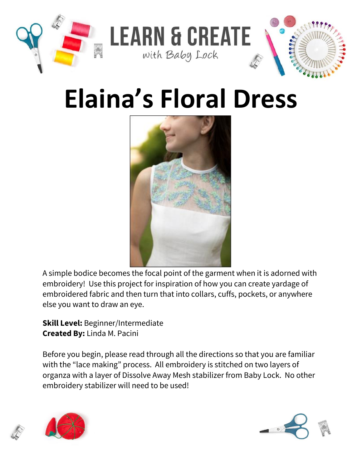

# **Elaina's Floral Dress**



A simple bodice becomes the focal point of the garment when it is adorned with embroidery! Use this project for inspiration of how you can create yardage of embroidered fabric and then turn that into collars, cuffs, pockets, or anywhere else you want to draw an eye.

**Skill Level:** Beginner/Intermediate **Created By:** Linda M. Pacini

Before you begin, please read through all the directions so that you are familiar with the "lace making" process. All embroidery is stitched on two layers of organza with a layer of Dissolve Away Mesh stabilizer from Baby Lock. No other embroidery stabilizer will need to be used!



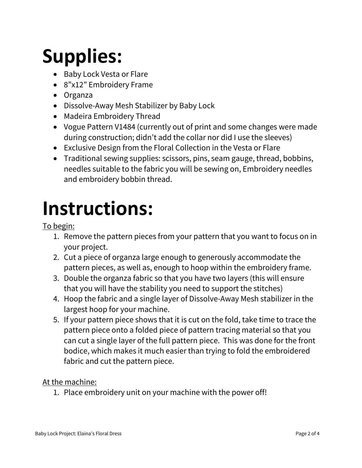## **Supplies:**

- Baby Lock Vesta or Flare
- 8"x12" Embroidery Frame
- Organza
- Dissolve-Away Mesh Stabilizer by Baby Lock
- Madeira Embroidery Thread
- Vogue Pattern V1484 (currently out of print and some changes were made during construction; didn't add the collar nor did I use the sleeves)
- Exclusive Design from the Floral Collection in the Vesta or Flare
- Traditional sewing supplies: scissors, pins, seam gauge, thread, bobbins, needles suitable to the fabric you will be sewing on, Embroidery needles and embroidery bobbin thread.

### **Instructions:**

To begin:

- 1. Remove the pattern pieces from your pattern that you want to focus on in your project.
- 2. Cut a piece of organza large enough to generously accommodate the pattern pieces, as well as, enough to hoop within the embroidery frame.
- 3. Double the organza fabric so that you have two layers (this will ensure that you will have the stability you need to support the stitches)
- 4. Hoop the fabric and a single layer of Dissolve-Away Mesh stabilizer in the largest hoop for your machine.
- 5. If your pattern piece shows that it is cut on the fold, take time to trace the pattern piece onto a folded piece of pattern tracing material so that you can cut a single layer of the full pattern piece. This was done for the front bodice, which makes it much easier than trying to fold the embroidered fabric and cut the pattern piece.

### At the machine:

1. Place embroidery unit on your machine with the power off!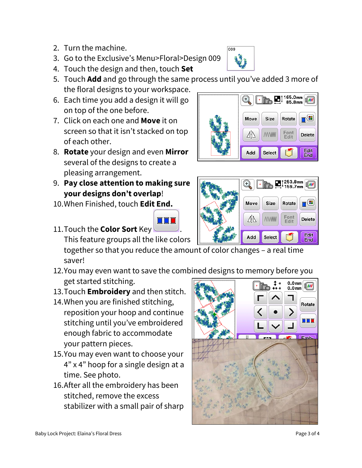Baby Lock Project: Elaina's Floral Dress Page 3 of 4

- 2. Turn the machine.
- 3. Go to the Exclusive's Menu>Floral>Design 009
- 4. Touch the design and then, touch **Set**
- 5. Touch **Add** and go through the same process until you've added 3 more of the floral designs to your workspace.
- 6. Each time you add a design it will go on top of the one before.
- 7. Click on each one and **Move** it on screen so that it isn't stacked on top of each other.
- 8. **Rotate** your design and even **Mirror** several of the designs to create a pleasing arrangement.
- 9. **Pay close attention to making sure your designs don't overlap**!
- 10.When Finished, touch **Edit End.**
- 11.Touch the **Color Sort** Key .

This feature groups all the like colors

together so that you reduce the amount of color changes – a real time saver!

- 12.You may even want to save the combined designs to memory before you get started stitching.
- 13.Touch **Embroidery** and then stitch.
- 14.When you are finished stitching, reposition your hoop and continue stitching until you've embroidered enough fabric to accommodate your pattern pieces.
- 15.You may even want to choose your 4" x 4" hoop for a single design at a time. See photo.
- 16.After all the embroidery has been stitched, remove the excess stabilizer with a small pair of sharp



253.8mm 59.7mm

Rotate

Font<br>Edit

┲Œ

**Delete** 

Edit

**End** 





Move

⊿i∆

Add

Size

**MAMM** 

Select





009